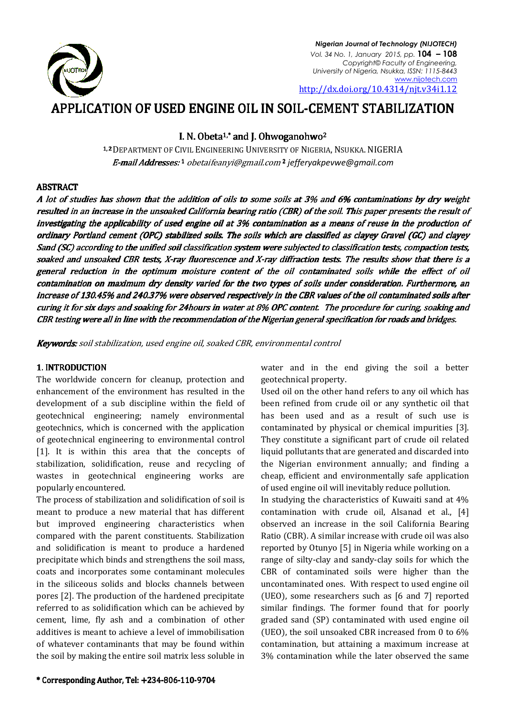

*Nigerian Journal of Technology (NIJOTECH) Vol. 34 No. 1, January 2015, pp.* **104 – 108** *Copyright© Faculty of Engineering, University of Nigeria, Nsukka, ISSN: 1115 1115-8443* http://dx.doi.org/10.4314/njt.v34i1. http://dx.doi.org/10.4314/njt.v34i1.12www.nijotech.com

# APPLICATION OF USED ENGINE OIL IN SOIL-CEMENT STABILIZATION

I. N. Obeta<sup>1,\*</sup> and J. Ohwoganohwo<sup>2</sup>

1,2 DEPARTMENT OF CIVIL ENGINEERING UNIVERSITY OF NIGERIA, NSUKKA. NIGERIA E-mail Addresses: 1 obetaifeanyi@gmail.com <sup>2</sup> jefferyakpevwe@gmail.com

### **ABSTRACT**

A lot of studies has shown that the addition of oils to some soils at 3% and 6% contaminations by dry weight resulted in an increase in the unsoaked California bearing ratio (CBR) of the soil. This paper presents the result of investigating the applicability of used engine oil at 3% contamination as a means of reuse in the production of ordinary Portland cement (OPC) stabilized soils. The soils which are classified as clayey Gravel (GC) and clayey Sand (SC) according to the unified soil classification system were subjected to classification tests, compaction tests, soaked and unsoaked CBR tests, X-ray fluorescence and X-ray diffraction tests. The results show that there is a general reduction in the optimum moisture content of the oil contaminated soils while the effect of oil contamination on maximum dry density varied for the two types of soils under consideration. Furthermore, an<br>increase of 130.45% and 240.37% were observed respectivelv in the CBR values of the oil contaminated soils after increase of 130.45% and 240.37% were observed respectively in the CBR values of the oil contaminated soils curing it for six days and soaking for 24hours in water at 8% OPC content. The procedure for curing, soaking and CBR testing were all in line with the recommendation of the Nigerian general specification for roads and bridges bridges.

**Keywords:** soil stabilization, used engine oil, soaked CBR, environmental control

#### 1. INTRODUCTION

The worldwide concern for cleanup, protection and The worldwide concern for cleanup, protection and<br>enhancement of the environment has resulted in the development of a sub discipline within the field of geotechnical engineering; namely environmental geotechnics, which is concerned with the application of geotechnical engineering to environmental control [1]. It is within this area that the concepts of geotechnics, which is concerned with the application<br>of geotechnical engineering to environmental control<br>[1]. It is within this area that the concepts of<br>stabilization, solidification, reuse and recycling of wastes in geotechnical engineering works are popularly encountered.

The process of stabilization and solidification of soil is meant to produce a new material that has different but improved engineering characteristics when compared with the parent constituents. Stabilization and solidification is meant to produce a hardened precipitate which binds and strengthens the soil mass, coats and incorporates some contaminant molecules in the siliceous solids and blocks channels between pores [2]. The production of the hardened precipitate referred to as solidification which can be achieved by cement, lime, fly ash and a combination of other additives is meant to achieve a level of immobilisation of whatever contaminants that may be found within the soil by making the entire soil matrix less soluble in

\* Corresponding Author, Tel: +234- Corresponding Author, +234-806-110 110-9704

geotechnical property.

water and in the end giving the soil a better<br>wironment has resulted in the geotechnical property.<br>Wironment has resulted in the Used oil on the other hand refers to any oil which has<br>discipline within the field of been re Used oil on the other hand refers to any oil which has been refined from crude oil or any synthetic oil that has been used and as a result of such use is contaminated by physical or chemical impurities [3]. They constitute a significant part of crude oil related liquid pollutants that are generated and discarded into the Nigerian environment annually; and finding a cheap, efficient and environmentally safe application of used engine oil will inevitably reduce pollution.

In studying the characteristics of Kuwaiti sand at 4% contamination with crude oil, Alsanad et al., [4] observed an increase in the soil California Bearing Ratio (CBR). A similar increase with crude oil was also reported by Otunyo [5] in Nigeria range of silty-clay and sandy-clay soils for which the CBR of contaminated soils were higher than the uncontaminated ones. With respect to used engine oil (UEO), some researchers such as [6 and 7] reported similar findings. The former found that for poorly graded sand (SP) contaminated with used engine oil (UEO), the soil unsoaked CBR increased from 0 to  $6\%$ contamination, but attaining a maximum increase at 3% contamination while the later observed the same ncrease in the soil California Bearing<br>similar increase with crude oil was also<br>tunyo [5] in Nigeria while working on a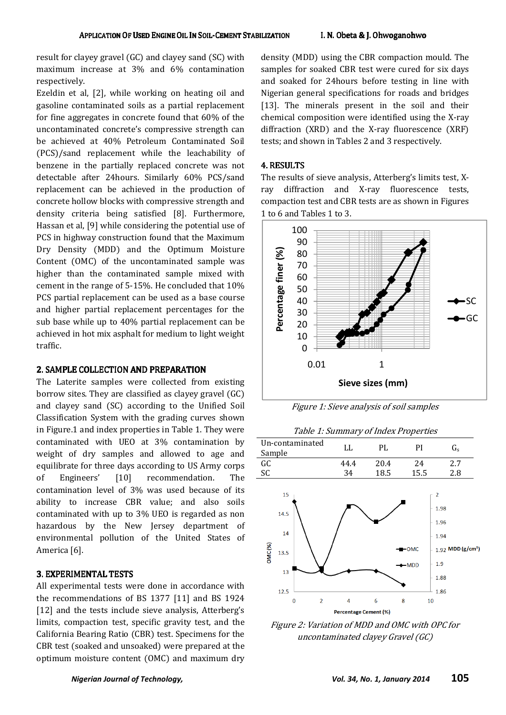result for clayey gravel (GC) and clayey sand (SC) with maximum increase at 3% and 6% contamination respectively.

Ezeldin et al, [2], while working on heating oil and gasoline contaminated soils as a partial replacement for fine aggregates in concrete found that 60% of the uncontaminated concrete's compressive strength can be achieved at 40% Petroleum Contaminated Soil (PCS)/sand replacement while the leachability of benzene in the partially replaced concrete was not detectable after 24hours. Similarly 60% PCS/sand replacement can be achieved in the production of concrete hollow blocks with compressive strength and density criteria being satisfied [8]. Furthermore, Hassan et al, [9] while considering the potential use of PCS in highway construction found that the Maximum Dry Density (MDD) and the Optimum Moisture Content (OMC) of the uncontaminated sample was higher than the contaminated sample mixed with cement in the range of 5-15%. He concluded that 10% PCS partial replacement can be used as a base course and higher partial replacement percentages for the sub base while up to 40% partial replacement can be achieved in hot mix asphalt for medium to light weight traffic.

#### 2. SAMPLE COLLECTION AND PREPARATION

The Laterite samples were collected from existing borrow sites. They are classified as clayey gravel (GC) and clayey sand (SC) according to the Unified Soil Classification System with the grading curves shown in Figure.1 and index properties in Table 1. They were contaminated with UEO at 3% contamination by weight of dry samples and allowed to age and equilibrate for three days according to US Army corps of Engineers' [10] recommendation. The contamination level of 3% was used because of its ability to increase CBR value; and also soils contaminated with up to 3% UEO is regarded as non hazardous by the New Jersey department of environmental pollution of the United States of America [6].

#### 3. EXPERIMENTAL TESTS

All experimental tests were done in accordance with the recommendations of BS 1377 [11] and BS 1924 [12] and the tests include sieve analysis, Atterberg's limits, compaction test, specific gravity test, and the California Bearing Ratio (CBR) test. Specimens for the CBR test (soaked and unsoaked) were prepared at the optimum moisture content (OMC) and maximum dry

density (MDD) using the CBR compaction mould. The samples for soaked CBR test were cured for six days and soaked for 24hours before testing in line with Nigerian general specifications for roads and bridges [13]. The minerals present in the soil and their chemical composition were identified using the X-ray diffraction (XRD) and the X-ray fluorescence (XRF) tests; and shown in Tables 2 and 3 respectively.

#### 4. RESULTS

The results of sieve analysis, Atterberg's limits test, Xray diffraction and X-ray fluorescence tests, compaction test and CBR tests are as shown in Figures 1 to 6 and Tables 1 to 3.



Figure 1: Sieve analysis of soil samples



Figure 2: Variation of MDD and OMC with OPC for uncontaminated clayey Gravel (GC)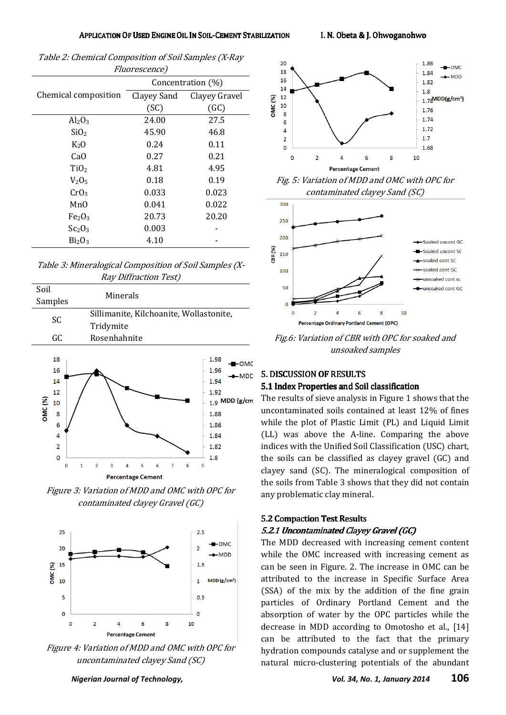| <i>Fluorescence)</i>           |                   |               |  |  |  |  |  |
|--------------------------------|-------------------|---------------|--|--|--|--|--|
|                                | Concentration (%) |               |  |  |  |  |  |
| Chemical composition           | Clayey Sand       | Clayey Gravel |  |  |  |  |  |
|                                | (SC)              | (GC)          |  |  |  |  |  |
| $Al_2O_3$                      | 24.00             | 27.5          |  |  |  |  |  |
| SiO <sub>2</sub>               | 45.90             | 46.8          |  |  |  |  |  |
| $K_2O$                         | 0.24              | 0.11          |  |  |  |  |  |
| Ca <sub>O</sub>                | 0.27              | 0.21          |  |  |  |  |  |
| TiO <sub>2</sub>               | 4.81              | 4.95          |  |  |  |  |  |
| $V_2O_5$                       | 0.18              | 0.19          |  |  |  |  |  |
| CrO <sub>3</sub>               | 0.033             | 0.023         |  |  |  |  |  |
| MnO                            | 0.041             | 0.022         |  |  |  |  |  |
| Fe <sub>2</sub> O <sub>3</sub> | 20.73             | 20.20         |  |  |  |  |  |
| Sc <sub>2</sub> O <sub>3</sub> | 0.003             |               |  |  |  |  |  |
| Bi <sub>2</sub> O <sub>3</sub> | 4.10              |               |  |  |  |  |  |

| Table 2: Chemical Composition of Soil Samples (X-Ray |
|------------------------------------------------------|
| <i>Fluorescence)</i>                                 |

Table 3: Mineralogical Composition of Soil Samples (X-Ray Diffraction Test)

| Soil                                                                                  | Minerals                                |        |   |        |                                                                                                           |  |
|---------------------------------------------------------------------------------------|-----------------------------------------|--------|---|--------|-----------------------------------------------------------------------------------------------------------|--|
| Samples                                                                               |                                         |        |   |        |                                                                                                           |  |
| SC                                                                                    | Sillimanite, Kilchoanite, Wollastonite, |        |   |        |                                                                                                           |  |
| Tridymite                                                                             |                                         |        |   |        |                                                                                                           |  |
| GC                                                                                    | Rosenhahnite                            |        |   |        |                                                                                                           |  |
| 18<br>16<br>14<br>12<br>OMC (%)<br>10<br>8<br>6<br>4<br>$\overline{2}$<br>$\mathbf 0$ |                                         |        |   |        | 1.98<br>-OMC<br>1.96<br>-MDD<br>1.94<br>1.92<br>$_{1.9}$ MDD (g/cm<br>1.88<br>1.86<br>1.84<br>1.82<br>1.8 |  |
| $\bf{0}$                                                                              | 3<br>$\mathbf{1}$<br>2                  | 4<br>5 | 6 | 7<br>8 | 9                                                                                                         |  |
| <b>Percentage Cement</b>                                                              |                                         |        |   |        |                                                                                                           |  |

Figure 3: Variation of MDD and OMC with OPC for contaminated clayey Gravel (GC)



Figure 4: Variation of MDD and OMC with OPC for uncontaminated clayey Sand (SC)



Fig. 5: Variation of MDD and OMC with OPC for contaminated clayey Sand (SC)



Fig.6: Variation of CBR with OPC for soaked and unsoaked samples

# 5. DISCUSSION OF RESULTS

#### 5.1 Index Properties and Soil classification

The results of sieve analysis in Figure 1 shows that the uncontaminated soils contained at least 12% of fines while the plot of Plastic Limit (PL) and Liquid Limit (LL) was above the A-line. Comparing the above indices with the Unified Soil Classification (USC) chart, the soils can be classified as clayey gravel (GC) and clayey sand (SC). The mineralogical composition of the soils from Table 3 shows that they did not contain any problematic clay mineral.

#### 5.2 Compaction Test Results 5.2.1 Uncontaminated Clayey Gravel (GC)

The MDD decreased with increasing cement content while the OMC increased with increasing cement as can be seen in Figure. 2. The increase in OMC can be attributed to the increase in Specific Surface Area (SSA) of the mix by the addition of the fine grain particles of Ordinary Portland Cement and the absorption of water by the OPC particles while the decrease in MDD according to Omotosho et al., [14] can be attributed to the fact that the primary hydration compounds catalyse and or supplement the natural micro-clustering potentials of the abundant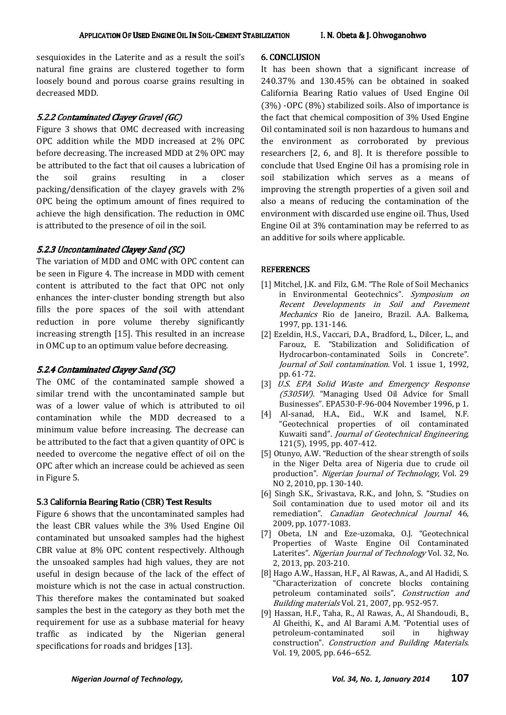sesquioxides in the Laterite and as a result the soil's natural fine grains are clustered together to form loosely bound and porous coarse grains resulting in decreased MDD.

#### 5.2.2 Contaminated Clayey Gravel (GC)

Figure 3 shows that OMC decreased with increasing OPC addition while the MDD increased at 2% OPC before decreasing. The increased MDD at 2% OPC may be attributed to the fact that oil causes a lubrication of the soil grains resulting in a closer packing/densification of the clayey gravels with 2% OPC being the optimum amount of fines required to achieve the high densification. The reduction in OMC is attributed to the presence of oil in the soil.

#### 5.2.3 Uncontaminated Clayey Sand (SC)

The variation of MDD and OMC with OPC content can be seen in Figure 4. The increase in MDD with cement content is attributed to the fact that OPC not only enhances the inter-cluster bonding strength but also fills the pore spaces of the soil with attendant reduction in pore volume thereby significantly increasing strength [15]. This resulted in an increase in OMC up to an optimum value before decreasing.

## 5.2.4 Contaminated Clayey Sand (SC)

The OMC of the contaminated sample showed a similar trend with the uncontaminated sample but was of a lower value of which is attributed to oil contamination while the MDD decreased to a minimum value before increasing. The decrease can be attributed to the fact that a given quantity of OPC is needed to overcome the negative effect of oil on the OPC after which an increase could be achieved as seen in Figure 5.

#### 5.3 California Bearing Ratio (CBR) Test Results

Figure 6 shows that the uncontaminated samples had the least CBR values while the 3% Used Engine Oil contaminated but unsoaked samples had the highest CBR value at 8% OPC content respectively. Although the unsoaked samples had high values, they are not useful in design because of the lack of the effect of moisture which is not the case in actual construction. This therefore makes the contaminated but soaked samples the best in the category as they both met the requirement for use as a subbase material for heavy traffic as indicated by the Nigerian general specifications for roads and bridges [13].

#### **6. CONCLUSION**

It has been shown that a significant increase of 240.37% and 130.45% can be obtained in soaked California Bearing Ratio values of Used Engine Oil (3%) -OPC (8%) stabilized soils. Also of importance is the fact that chemical composition of 3% Used Engine Oil contaminated soil is non hazardous to humans and the environment as corroborated by previous researchers [2, 6, and 8]. It is therefore possible to conclude that Used Engine Oil has a promising role in soil stabilization which serves as a means of improving the strength properties of a given soil and also a means of reducing the contamination of the environment with discarded use engine oil. Thus, Used Engine Oil at 3% contamination may be referred to as an additive for soils where applicable.

### **REFERENCES**

- [1] Mitchel, J.K. and Filz, G.M. "The Role of Soil Mechanics in Environmental Geotechnics". Symposium on Recent Developments in Soil and Pavement Mechanics Rio de Janeiro, Brazil. A.A. Balkema, 1997, pp. 131-146.
- [2] Ezeldin, H.S., Vaccari, D.A., Bradford, L., Dilcer, L., and Farouz, E. "Stabilization and Solidification of Hydrocarbon-contaminated Soils in Concrete". Journal of Soil contamination. Vol. 1 issue 1, 1992, pp. 61-72.
- [3] U.S. EPA Solid Waste and Emergency Response (5305W). "Managing Used Oil Advice for Small Businesses". EPA530-F-96-004 November 1996, p 1.
- [4] Al-sanad, H.A., Eid., W.K and Isamel, N.F. "Geotechnical properties of oil contaminated Kuwaiti sand". Journal of Geotechnical Engineering, 121(5), 1995, pp. 407-412.
- [5] Otunyo, A.W. "Reduction of the shear strength of soils in the Niger Delta area of Nigeria due to crude oil production". Nigerian Journal of Technology, Vol. 29 NO 2, 2010, pp. 130-140.
- [6] Singh S.K., Srivastava, R.K., and John, S. "Studies on Soil contamination due to used motor oil and its remediation". Canadian Geotechnical Journal 46, 2009, pp. 1077-1083.
- [7] Obeta, I.N and Eze-uzomaka, O.J. "Geotechnical Properties of Waste Engine Oil Contaminated Laterites". Nigerian Journal of Technology Vol. 32, No. 2, 2013, pp. 203-210.
- [8] Hago A.W., Hassan, H.F., Al Rawas, A., and Al Hadidi, S. "Characterization of concrete blocks containing petroleum contaminated soils". Construction and Building materials Vol. 21, 2007, pp. 952-957.
- [9] Hassan, H.F., Taha, R., Al Rawas, A., Al Shandoudi, B., Al Gheithi, K., and Al Barami A.M. "Potential uses of petroleum-contaminated soil in highway construction". Construction and Building Materials. Vol. 19, 2005, pp. 646–652.